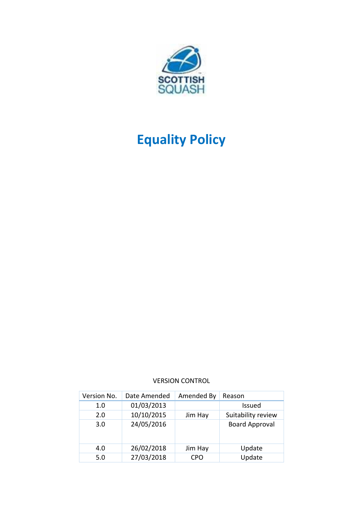

# **Equality Policy**

## VERSION CONTROL

| Version No. | Date Amended | Amended By | Reason                |
|-------------|--------------|------------|-----------------------|
| 1.0         | 01/03/2013   |            | Issued                |
| 2.0         | 10/10/2015   | Jim Hay    | Suitability review    |
| 3.0         | 24/05/2016   |            | <b>Board Approval</b> |
| 4.0         | 26/02/2018   | Jim Hay    | Update                |
| 5.0         | 27/03/2018   | CPO        | Update                |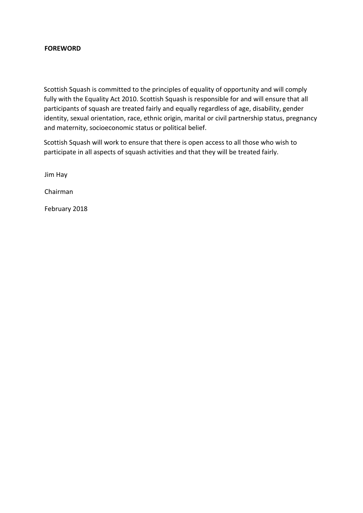# **FOREWORD**

Scottish Squash is committed to the principles of equality of opportunity and will comply fully with the Equality Act 2010. Scottish Squash is responsible for and will ensure that all participants of squash are treated fairly and equally regardless of age, disability, gender identity, sexual orientation, race, ethnic origin, marital or civil partnership status, pregnancy and maternity, socioeconomic status or political belief.

Scottish Squash will work to ensure that there is open access to all those who wish to participate in all aspects of squash activities and that they will be treated fairly.

Jim Hay

Chairman

February 2018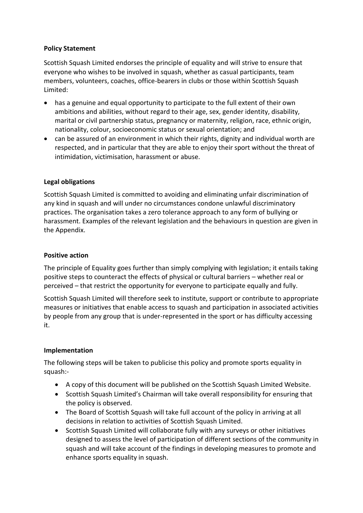# **Policy Statement**

Scottish Squash Limited endorses the principle of equality and will strive to ensure that everyone who wishes to be involved in squash, whether as casual participants, team members, volunteers, coaches, office-bearers in clubs or those within Scottish Squash Limited:

- has a genuine and equal opportunity to participate to the full extent of their own ambitions and abilities, without regard to their age, sex, gender identity, disability, marital or civil partnership status, pregnancy or maternity, religion, race, ethnic origin, nationality, colour, socioeconomic status or sexual orientation; and
- can be assured of an environment in which their rights, dignity and individual worth are respected, and in particular that they are able to enjoy their sport without the threat of intimidation, victimisation, harassment or abuse.

# **Legal obligations**

Scottish Squash Limited is committed to avoiding and eliminating unfair discrimination of any kind in squash and will under no circumstances condone unlawful discriminatory practices. The organisation takes a zero tolerance approach to any form of bullying or harassment. Examples of the relevant legislation and the behaviours in question are given in the Appendix.

# **Positive action**

The principle of Equality goes further than simply complying with legislation; it entails taking positive steps to counteract the effects of physical or cultural barriers – whether real or perceived – that restrict the opportunity for everyone to participate equally and fully.

Scottish Squash Limited will therefore seek to institute, support or contribute to appropriate measures or initiatives that enable access to squash and participation in associated activities by people from any group that is under-represented in the sport or has difficulty accessing it.

## **Implementation**

The following steps will be taken to publicise this policy and promote sports equality in squash:-

- A copy of this document will be published on the Scottish Squash Limited Website.
- Scottish Squash Limited's Chairman will take overall responsibility for ensuring that the policy is observed.
- The Board of Scottish Squash will take full account of the policy in arriving at all decisions in relation to activities of Scottish Squash Limited.
- Scottish Squash Limited will collaborate fully with any surveys or other initiatives designed to assess the level of participation of different sections of the community in squash and will take account of the findings in developing measures to promote and enhance sports equality in squash.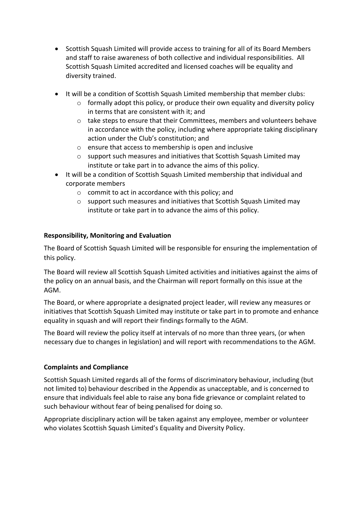- Scottish Squash Limited will provide access to training for all of its Board Members and staff to raise awareness of both collective and individual responsibilities. All Scottish Squash Limited accredited and licensed coaches will be equality and diversity trained.
- It will be a condition of Scottish Squash Limited membership that member clubs:
	- o formally adopt this policy, or produce their own equality and diversity policy in terms that are consistent with it; and
	- o take steps to ensure that their Committees, members and volunteers behave in accordance with the policy, including where appropriate taking disciplinary action under the Club's constitution; and
	- o ensure that access to membership is open and inclusive
	- o support such measures and initiatives that Scottish Squash Limited may institute or take part in to advance the aims of this policy.
- It will be a condition of Scottish Squash Limited membership that individual and corporate members
	- o commit to act in accordance with this policy; and
	- o support such measures and initiatives that Scottish Squash Limited may institute or take part in to advance the aims of this policy.

# **Responsibility, Monitoring and Evaluation**

The Board of Scottish Squash Limited will be responsible for ensuring the implementation of this policy.

The Board will review all Scottish Squash Limited activities and initiatives against the aims of the policy on an annual basis, and the Chairman will report formally on this issue at the AGM.

The Board, or where appropriate a designated project leader, will review any measures or initiatives that Scottish Squash Limited may institute or take part in to promote and enhance equality in squash and will report their findings formally to the AGM.

The Board will review the policy itself at intervals of no more than three years, (or when necessary due to changes in legislation) and will report with recommendations to the AGM.

# **Complaints and Compliance**

Scottish Squash Limited regards all of the forms of discriminatory behaviour, including (but not limited to) behaviour described in the Appendix as unacceptable, and is concerned to ensure that individuals feel able to raise any bona fide grievance or complaint related to such behaviour without fear of being penalised for doing so.

Appropriate disciplinary action will be taken against any employee, member or volunteer who violates Scottish Squash Limited's Equality and Diversity Policy.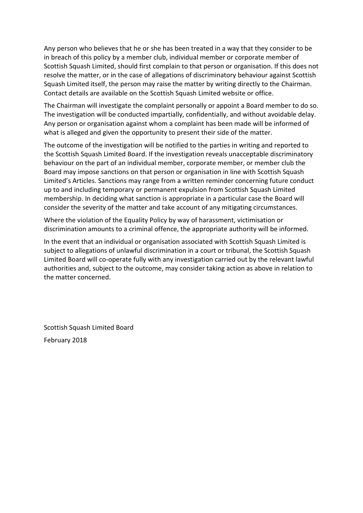Any person who believes that he or she has been treated in a way that they consider to be in breach of this policy by a member club, individual member or corporate member of Scottish Squash Limited, should first complain to that person or organisation. If this does not resolve the matter, or in the case of allegations of discriminatory behaviour against Scottish Squash Limited itself, the person may raise the matter by writing directly to the Chairman. Contact details are available on the Scottish Squash Limited website or office.

The Chairman will investigate the complaint personally or appoint a Board member to do so. The investigation will be conducted impartially, confidentially, and without avoidable delay. Any person or organisation against whom a complaint has been made will be informed of what is alleged and given the opportunity to present their side of the matter.

The outcome of the investigation will be notified to the parties in writing and reported to the Scottish Squash Limited Board. If the investigation reveals unacceptable discriminatory behaviour on the part of an individual member, corporate member, or member club the Board may impose sanctions on that person or organisation in line with Scottish Squash Limited's Articles. Sanctions may range from a written reminder concerning future conduct up to and including temporary or permanent expulsion from Scottish Squash Limited membership. In deciding what sanction is appropriate in a particular case the Board will consider the severity of the matter and take account of any mitigating circumstances.

Where the violation of the Equality Policy by way of harassment, victimisation or discrimination amounts to a criminal offence, the appropriate authority will be informed.

In the event that an individual or organisation associated with Scottish Squash Limited is subject to allegations of unlawful discrimination in a court or tribunal, the Scottish Squash Limited Board will co-operate fully with any investigation carried out by the relevant lawful authorities and, subject to the outcome, may consider taking action as above in relation to the matter concerned.

Scottish Squash Limited Board February 2018